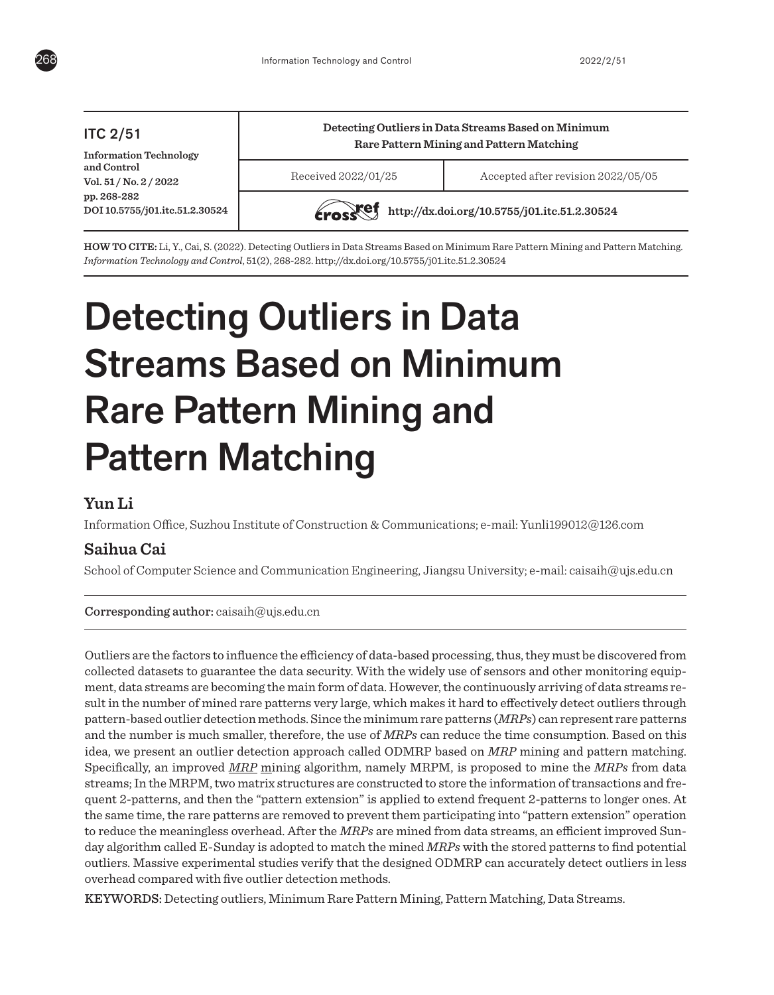

# ITC 2/51

**Information Technology and Control Vol. 51 / No. 2 / 2022 pp. 268-282 DOI 10.5755/j01.itc.51.2.30524**

# **Detecting Outliers in Data Streams Based on Minimum Rare Pattern Mining and Pattern Matching**

Received 2022/01/25 Accepted after revision 2022/05/05



**http://dx.doi.org/10.5755/j01.itc.51.2.30524** 

**HOW TO CITE:** Li, Y., Cai, S. (2022). Detecting Outliers in Data Streams Based on Minimum Rare Pattern Mining and Pattern Matching. *Information Technology and Control*, 51(2), 268-282. http://dx.doi.org/10.5755/j01.itc.51.2.30524

# Detecting Outliers in Data Streams Based on Minimum Rare Pattern Mining and Pattern Matching

# **Yun Li**

Information Office, Suzhou Institute of Construction & Communications; e-mail: Yunli199012@126.com

# **Saihua Cai**

School of Computer Science and Communication Engineering, Jiangsu University; e-mail: caisaih@ujs.edu.cn

# Corresponding author: caisaih@ujs.edu.cn

Outliers are the factors to influence the efficiency of data-based processing, thus, they must be discovered from collected datasets to guarantee the data security. With the widely use of sensors and other monitoring equipment, data streams are becoming the main form of data. However, the continuously arriving of data streams result in the number of mined rare patterns very large, which makes it hard to effectively detect outliers through pattern-based outlier detection methods. Since the minimum rare patterns (*MRPs*) can represent rare patterns and the number is much smaller, therefore, the use of *MRPs* can reduce the time consumption. Based on this idea, we present an outlier detection approach called ODMRP based on *MRP* mining and pattern matching. Specifically, an improved *MRP* mining algorithm, namely MRPM, is proposed to mine the *MRPs* from data streams; In the MRPM, two matrix structures are constructed to store the information of transactions and frequent 2-patterns, and then the "pattern extension" is applied to extend frequent 2-patterns to longer ones. At the same time, the rare patterns are removed to prevent them participating into "pattern extension" operation to reduce the meaningless overhead. After the *MRPs* are mined from data streams, an efficient improved Sunday algorithm called E-Sunday is adopted to match the mined *MRPs* with the stored patterns to find potential outliers. Massive experimental studies verify that the designed ODMRP can accurately detect outliers in less overhead compared with five outlier detection methods.

KEYWORDS: Detecting outliers, Minimum Rare Pattern Mining, Pattern Matching, Data Streams.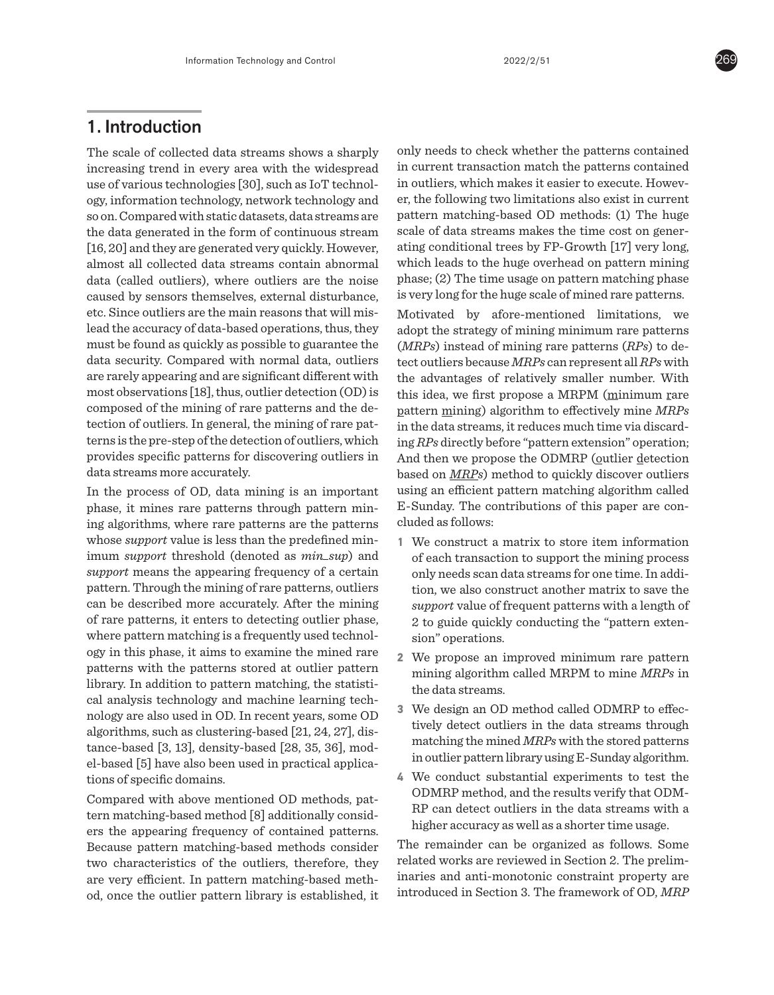# 1. Introduction

The scale of collected data streams shows a sharply increasing trend in every area with the widespread use of various technologies [30], such as IoT technology, information technology, network technology and so on. Compared with static datasets, data streams are the data generated in the form of continuous stream [16, 20] and they are generated very quickly. However, almost all collected data streams contain abnormal data (called outliers), where outliers are the noise caused by sensors themselves, external disturbance, etc. Since outliers are the main reasons that will mislead the accuracy of data-based operations, thus, they must be found as quickly as possible to guarantee the data security. Compared with normal data, outliers are rarely appearing and are significant different with most observations [18], thus, outlier detection (OD) is composed of the mining of rare patterns and the detection of outliers. In general, the mining of rare patterns is the pre-step of the detection of outliers, which provides specific patterns for discovering outliers in data streams more accurately.

In the process of OD, data mining is an important phase, it mines rare patterns through pattern mining algorithms, where rare patterns are the patterns whose *support* value is less than the predefined minimum *support* threshold (denoted as *min\_sup*) and *support* means the appearing frequency of a certain pattern. Through the mining of rare patterns, outliers can be described more accurately. After the mining of rare patterns, it enters to detecting outlier phase, where pattern matching is a frequently used technology in this phase, it aims to examine the mined rare patterns with the patterns stored at outlier pattern library. In addition to pattern matching, the statistical analysis technology and machine learning technology are also used in OD. In recent years, some OD algorithms, such as clustering-based [21, 24, 27], distance-based [3, 13], density-based [28, 35, 36], model-based [5] have also been used in practical applications of specific domains.

Compared with above mentioned OD methods, pattern matching-based method [8] additionally considers the appearing frequency of contained patterns. Because pattern matching-based methods consider two characteristics of the outliers, therefore, they are very efficient. In pattern matching-based method, once the outlier pattern library is established, it only needs to check whether the patterns contained in current transaction match the patterns contained in outliers, which makes it easier to execute. However, the following two limitations also exist in current pattern matching-based OD methods: (1) The huge scale of data streams makes the time cost on generating conditional trees by FP-Growth [17] very long, which leads to the huge overhead on pattern mining phase; (2) The time usage on pattern matching phase is very long for the huge scale of mined rare patterns.

Motivated by afore-mentioned limitations, we adopt the strategy of mining minimum rare patterns (*MRPs*) instead of mining rare patterns (*RPs*) to detect outliers because *MRPs* can represent all *RPs* with the advantages of relatively smaller number. With this idea, we first propose a MRPM (minimum rare pattern mining) algorithm to effectively mine *MRPs* in the data streams, it reduces much time via discarding *RPs* directly before "pattern extension" operation; And then we propose the ODMRP (outlier detection based on *MRPs*) method to quickly discover outliers using an efficient pattern matching algorithm called E-Sunday. The contributions of this paper are concluded as follows:

- **1** We construct a matrix to store item information of each transaction to support the mining process only needs scan data streams for one time. In addition, we also construct another matrix to save the *support* value of frequent patterns with a length of 2 to guide quickly conducting the "pattern extension" operations.
- **2** We propose an improved minimum rare pattern mining algorithm called MRPM to mine *MRPs* in the data streams.
- **3** We design an OD method called ODMRP to effectively detect outliers in the data streams through matching the mined *MRPs* with the stored patterns in outlier pattern library using E-Sunday algorithm.
- **4** We conduct substantial experiments to test the ODMRP method, and the results verify that ODM-RP can detect outliers in the data streams with a higher accuracy as well as a shorter time usage.

The remainder can be organized as follows. Some related works are reviewed in Section 2. The preliminaries and anti-monotonic constraint property are introduced in Section 3. The framework of OD, *MRP*

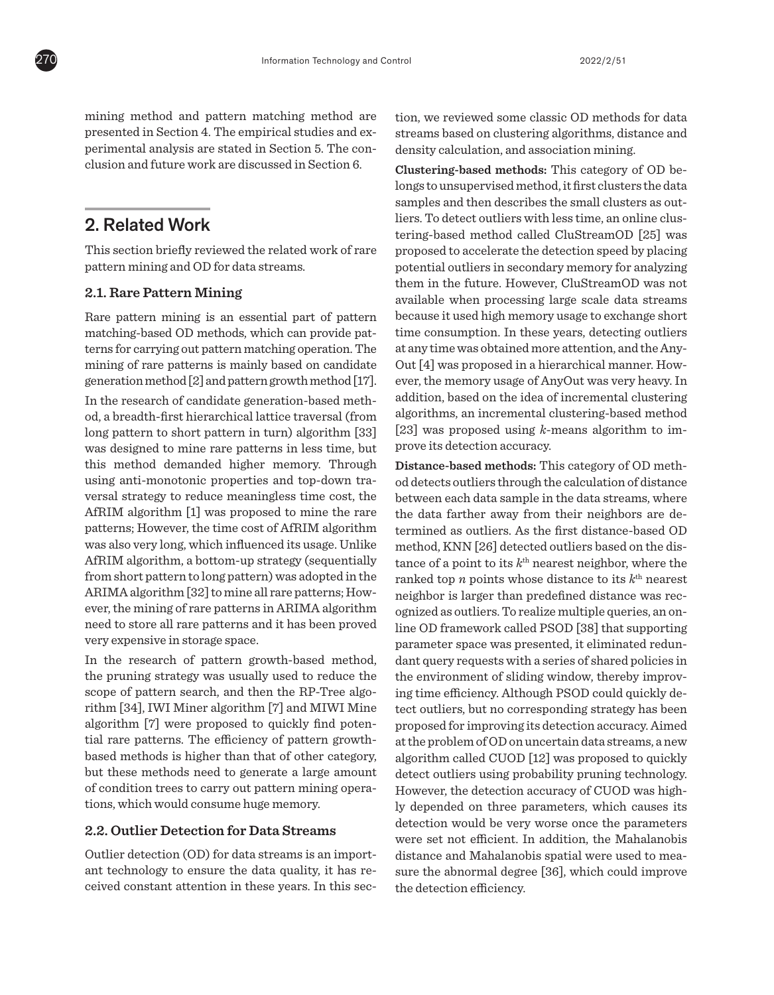mining method and pattern matching method are presented in Section 4. The empirical studies and experimental analysis are stated in Section 5. The conclusion and future work are discussed in Section 6.

# 2. Related Work

This section briefly reviewed the related work of rare pattern mining and OD for data streams.

## **2.1. Rare Pattern Mining**

Rare pattern mining is an essential part of pattern matching-based OD methods, which can provide patterns for carrying out pattern matching operation. The mining of rare patterns is mainly based on candidate generation method [2] and pattern growth method [17].

In the research of candidate generation-based method, a breadth-first hierarchical lattice traversal (from long pattern to short pattern in turn) algorithm [33] was designed to mine rare patterns in less time, but this method demanded higher memory. Through using anti-monotonic properties and top-down traversal strategy to reduce meaningless time cost, the AfRIM algorithm [1] was proposed to mine the rare patterns; However, the time cost of AfRIM algorithm was also very long, which influenced its usage. Unlike AfRIM algorithm, a bottom-up strategy (sequentially from short pattern to long pattern) was adopted in the ARIMA algorithm [32] to mine all rare patterns; However, the mining of rare patterns in ARIMA algorithm need to store all rare patterns and it has been proved very expensive in storage space.

In the research of pattern growth-based method, the pruning strategy was usually used to reduce the scope of pattern search, and then the RP-Tree algorithm [34], IWI Miner algorithm [7] and MIWI Mine algorithm [7] were proposed to quickly find potential rare patterns. The efficiency of pattern growthbased methods is higher than that of other category, but these methods need to generate a large amount of condition trees to carry out pattern mining operations, which would consume huge memory.

# **2.2. Outlier Detection for Data Streams**

Outlier detection (OD) for data streams is an important technology to ensure the data quality, it has received constant attention in these years. In this section, we reviewed some classic OD methods for data streams based on clustering algorithms, distance and density calculation, and association mining.

**Clustering-based methods:** This category of OD belongs to unsupervised method, it first clusters the data samples and then describes the small clusters as outliers. To detect outliers with less time, an online clustering-based method called CluStreamOD [25] was proposed to accelerate the detection speed by placing potential outliers in secondary memory for analyzing them in the future. However, CluStreamOD was not available when processing large scale data streams because it used high memory usage to exchange short time consumption. In these years, detecting outliers at any time was obtained more attention, and the Any-Out [4] was proposed in a hierarchical manner. However, the memory usage of AnyOut was very heavy. In addition, based on the idea of incremental clustering algorithms, an incremental clustering-based method [23] was proposed using *k*-means algorithm to improve its detection accuracy.

**Distance-based methods:** This category of OD method detects outliers through the calculation of distance between each data sample in the data streams, where the data farther away from their neighbors are determined as outliers. As the first distance-based OD method, KNN [26] detected outliers based on the distance of a point to its  $k^{\text{th}}$  nearest neighbor, where the ranked top *n* points whose distance to its  $k<sup>th</sup>$  nearest neighbor is larger than predefined distance was recognized as outliers. To realize multiple queries, an online OD framework called PSOD [38] that supporting parameter space was presented, it eliminated redundant query requests with a series of shared policies in the environment of sliding window, thereby improving time efficiency. Although PSOD could quickly detect outliers, but no corresponding strategy has been proposed for improving its detection accuracy. Aimed at the problem of OD on uncertain data streams, a new algorithm called CUOD [12] was proposed to quickly detect outliers using probability pruning technology. However, the detection accuracy of CUOD was highly depended on three parameters, which causes its detection would be very worse once the parameters were set not efficient. In addition, the Mahalanobis distance and Mahalanobis spatial were used to measure the abnormal degree [36], which could improve the detection efficiency.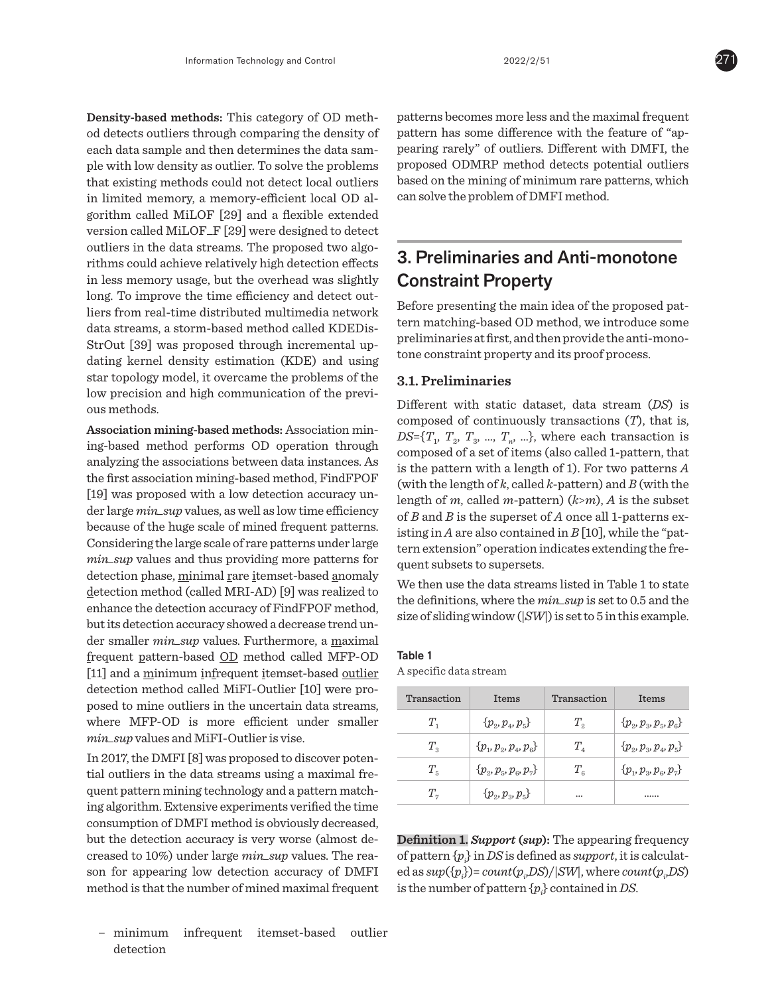**Density-based methods:** This category of OD method detects outliers through comparing the density of each data sample and then determines the data sample with low density as outlier. To solve the problems that existing methods could not detect local outliers in limited memory, a memory-efficient local OD algorithm called MiLOF [29] and a flexible extended version called MiLOF\_F [29] were designed to detect outliers in the data streams. The proposed two algorithms could achieve relatively high detection effects in less memory usage, but the overhead was slightly long. To improve the time efficiency and detect outliers from real-time distributed multimedia network data streams, a storm-based method called KDEDis-StrOut [39] was proposed through incremental updating kernel density estimation (KDE) and using star topology model, it overcame the problems of the low precision and high communication of the previous methods.

**Association mining-based methods:** Association mining-based method performs OD operation through analyzing the associations between data instances. As the first association mining-based method, FindFPOF [19] was proposed with a low detection accuracy under large *min\_sup* values, as well as low time efficiency because of the huge scale of mined frequent patterns. Considering the large scale of rare patterns under large *min\_sup* values and thus providing more patterns for detection phase, minimal rare itemset-based anomaly detection method (called MRI-AD) [9] was realized to enhance the detection accuracy of FindFPOF method, but its detection accuracy showed a decrease trend under smaller *min\_sup* values. Furthermore, a maximal frequent pattern-based OD method called MFP-OD [11] and a minimum infrequent itemset-based outlier detection method called MiFI-Outlier [10] were proposed to mine outliers in the uncertain data streams, where MFP-OD is more efficient under smaller *min\_sup* values and MiFI-Outlier is vise.

In 2017, the DMFI [8] was proposed to discover potential outliers in the data streams using a maximal frequent pattern mining technology and a pattern matching algorithm. Extensive experiments verified the time consumption of DMFI method is obviously decreased, but the detection accuracy is very worse (almost decreased to 10%) under large *min\_sup* values. The reason for appearing low detection accuracy of DMFI method is that the number of mined maximal frequent

**\_** minimum infrequent itemset-based outlier detection

patterns becomes more less and the maximal frequent pattern has some difference with the feature of "appearing rarely" of outliers. Different with DMFI, the proposed ODMRP method detects potential outliers based on the mining of minimum rare patterns, which can solve the problem of DMFI method.

# 3. Preliminaries and Anti-monotone Constraint Property

Before presenting the main idea of the proposed pattern matching-based OD method, we introduce some preliminaries at first, and then provide the anti-monotone constraint property and its proof process.

# **3.1. Preliminaries**

Different with static dataset, data stream (*DS*) is composed of continuously transactions (*T*), that is,  $DS=\{T_1, T_2, T_3, ..., T_n, ...\}$ , where each transaction is composed of a set of items (also called 1-pattern, that is the pattern with a length of 1). For two patterns *A* (with the length of *k*, called *k*-pattern) and *B* (with the length of *m*, called *m*-pattern) (*k*>*m*), *A* is the subset of *B* and *B* is the superset of *A* once all 1-patterns existing in *A* are also contained in *B* [10], while the "pattern extension" operation indicates extending the frequent subsets to supersets.

We then use the data streams listed in Table 1 to state the definitions, where the *min\_sup* is set to 0.5 and the size of sliding window (|*SW*|) is set to 5 in this example.

| Table 1 |  |  |
|---------|--|--|
|         |  |  |

Table 1

A specific data stream

| Transaction  | Items                            | Transaction                   | <b>T</b> tems                                    |
|--------------|----------------------------------|-------------------------------|--------------------------------------------------|
| $T_{\rm{H}}$ | $\{p_{2}, p_{4}, p_{5}\}$        | $T_{\rm o}$                   | $\{p_{\rho}, p_{\rho}, p_{\kappa}, p_{\kappa}\}$ |
| $T_{\rm g}$  | $\{p_{1}, p_{2}, p_{4}, p_{6}\}$ | $T_{\rm a}$                   | $\{p_{\rho}, p_{\rho}, p_{\mu}, p_{\epsilon}\}\$ |
| $T_{\kappa}$ | $\{p_{2}, p_{5}, p_{6}, p_{7}\}$ | $T_{\scriptscriptstyle\rm g}$ | $\{p_{1}, p_{2}, p_{6}, p_{7}\}$                 |
| $T_{\gamma}$ | $\{p_{2}, p_{3}, p_{5}\}$        |                               |                                                  |

**Definition 1.** *Support* **(***sup***):** The appearing frequency of pattern {*pi* } in *DS* is defined as *support*, it is calculated as  $sup(\{p_i\}) = count(p_i, DS) / |SW|$ , where  $count(p_i, DS)$ is the number of pattern {*pi* } contained in *DS*.

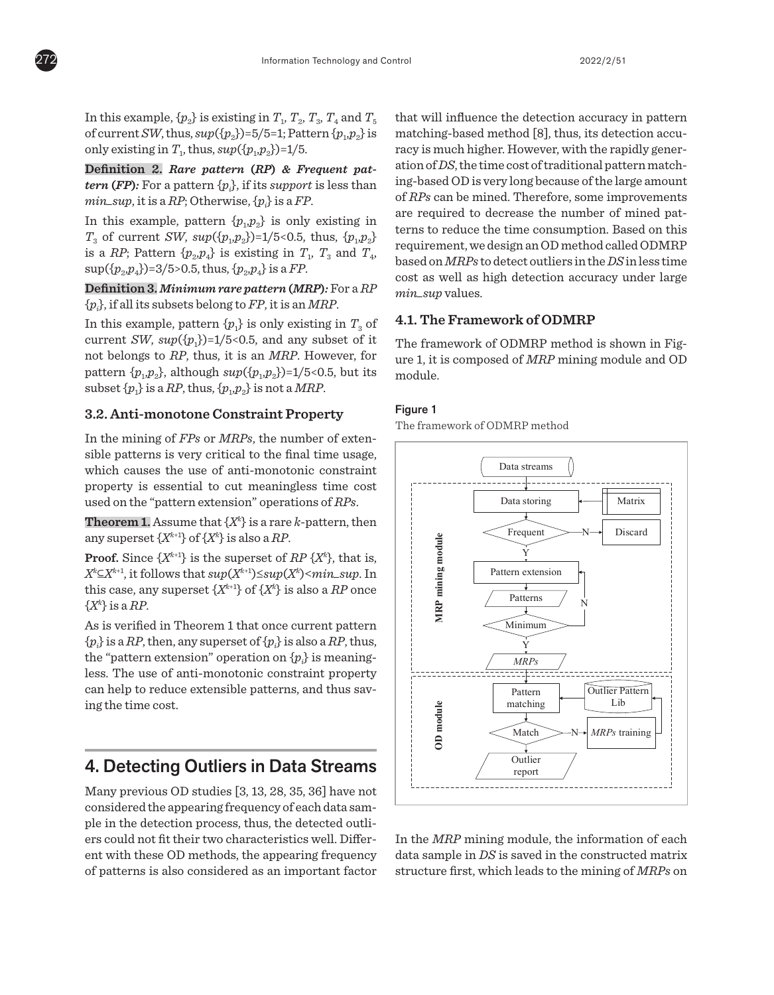

In this example,  $\{p_2\}$  is existing in  $T_1, T_2, T_3, T_4$  and  $T_5$ of current *SW*, thus,  $sup({p_2})=5/5=1$ ; Pattern  ${p_1, p_2}$  is only existing in  $T_1$ , thus,  $sup({p_1, p_2})=1/5$ .

**Definition 2.** *Rare pattern* **(***RP***)** *& Frequent pattern (FP):* For a pattern  ${p_i}$ , if its *support* is less than  $min\_sup$ , it is a *RP*; Otherwise,  $\{p_i\}$  is a *FP*.

In this example, pattern  $\{p_1, p_2\}$  is only existing in  $T_3$  of current *SW*,  $sup({p_1, p_2})=1/5<0.5$ , thus,  ${p_1, p_2}$ is a *RP*; Pattern  $\{p_2, p_4\}$  is existing in  $T_1$ ,  $T_3$  and  $T_4$ ,  $\sup({p_2, p_4})=3/5$ >0.5, thus,  ${p_2, p_4}$  is a *FP*.

# **Definition 3.** *Minimum rare pattern* **(***MRP***)***:* For a *RP* of current *SW*, *sup*({*p*1,*p*2})=1/5<0.5, thus, {*p*1,*p*2} is a  $\{p_i\}$ , if all its subsets belong to *FP*, it is an *MRP*.

In this example, pattern  $\{p_1\}$  is only existing in  $T_3$  of current *SW*,  $\sup({p_1})=1/5<0.5$ , and any subset of it not belongs to  $RP$ , thus, it is an  $MRP$ . However, for pattern  $\{p_1, p_2\}$ , although  $sup(\{p_1, p_2\})=1/5$ <0.5, but its  $\text{subset } \{p_1\} \text{ is a } RP, \text{thus}, \{p_1,p_2\} \text{ is not a } MRP.$ 

# 3.2. Anti-monotone Constraint Property

In the mining of *FPs* or *MRPs*, the number of extensible patterns is very critical to the final time usage, which causes the use of anti-monotonic constraint property is essential to cut meaningless time cost In the "pattern extension" operations of *RPs*.

**Theorem 1.** Assume that  $\{X^k\}$  is a rare *k*-pattern, then any superset {*Xk*+1} of {*Xk* } is also a *RP*. usage, which causes the use of anti-monotonic constraint property is also a  $\alpha$  means of  $\alpha$ 

**Proof.** Since  $\{X^{k+1}\}\$ is the superset of  $RP\ \{X^k\}$ , that is, *X<sup>k</sup>*⊆*X*<sup>k+1</sup>, it follows that *sup*(*X*<sup>k+1</sup>)≤*sup*(*X*<sup>k</sup>)<*min\_sup*. In this case, any superset  $\{X^{k+1}\}\text{ of }\{X^{k}\}\text{ is also a }RP$  once  $\{X^k\}$  is a *RP*.

As is verified in Theorem 1 that once current pattern  $\{p_i\}$  is a *RP*, then, any superset of  $\{p_i\}$  is also a *RP*, thus, *Xhe* "pattern extension" operation on  $\{p_i\}$  is meaningless. The use of anti-monotonic constraint property can help to reduce extensible patterns, and thus saving the time cost.

# 4. Detecting Outliers in Data Streams **4. Detecting Outliers in Data Streams**

Many previous OD studies [3, 13, 28, 35, 36] have not considered the appearing frequency of each data sample in the detection process, thus, the detected outliers could not fit their two characteristics well. Different with these OD methods, the appearing frequency of patterns is also considered as an important factor

that will influence the detection accuracy in pattern matching-based method [8], thus, its detection accuracy is much higher. However, with the rapidly generation of *DS*, the time cost of traditional pattern matching-based OD is very long because of the large amount of *RPs* can be mined. Therefore, some improvements are required to decrease the number of mined patterns to reduce the time consumption. Based on this requirement, we design an OD method called ODMRP based on *MRPs* to detect outliers in the DS in less time cost as well as high detection accuracy under large  $min\_sup$  values.

#### **4.1. The Framework of ODMRP**  $\overline{a}$  as  $\overline{a}$  as  $\overline{a}$ e **F** ramework of ODMRP

The framework of ODMRP method is shown in Figure 1, it is composed of *MRP* mining module and OD module.  $\mathbf{F}_{\mathbf{p}}$  and  $\mathbf{F}_{\mathbf{p}}$  method is shown is shown in the  $\mathbf{F}_{\mathbf{p}}$ 

## Figure 1

The framework of ODMRP method **Figure 1**



In the *MRP* mining module, the information of each data sample in *DS* is saved in the constructed matrix structure first, which leads to the mining of *MRPs* on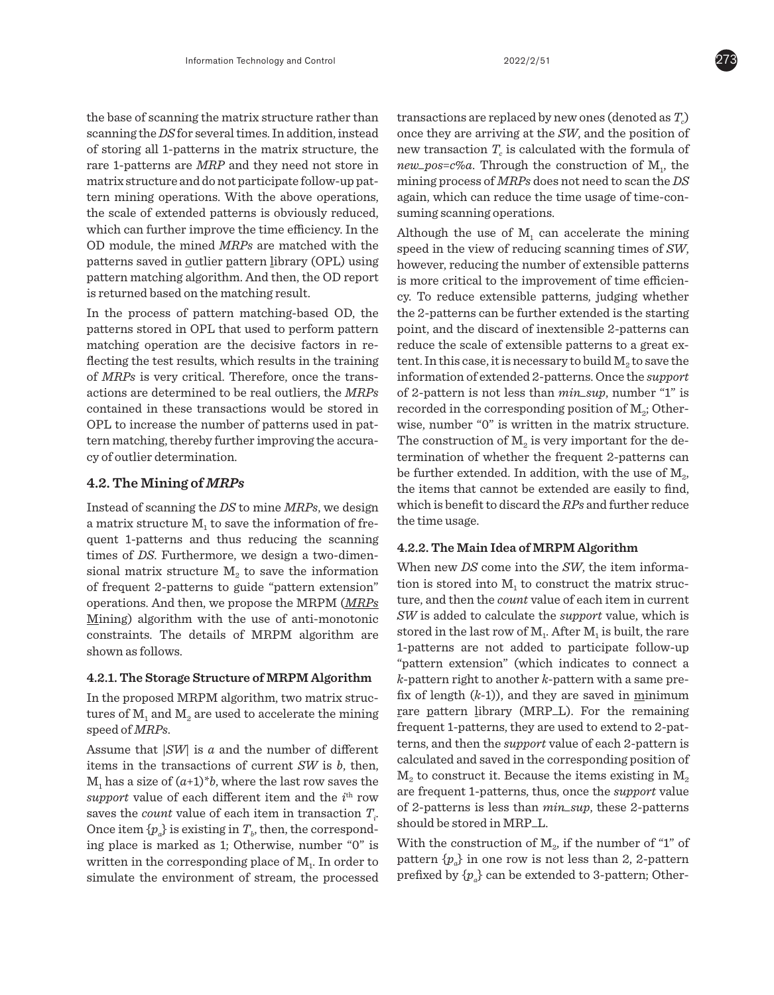the base of scanning the matrix structure rather than scanning the *DS* for several times. In addition, instead of storing all 1-patterns in the matrix structure, the rare 1-patterns are *MRP* and they need not store in matrix structure and do not participate follow-up pattern mining operations. With the above operations, the scale of extended patterns is obviously reduced, which can further improve the time efficiency. In the OD module, the mined *MRPs* are matched with the patterns saved in outlier pattern library (OPL) using pattern matching algorithm. And then, the OD report is returned based on the matching result.

In the process of pattern matching-based OD, the patterns stored in OPL that used to perform pattern matching operation are the decisive factors in reflecting the test results, which results in the training of *MRPs* is very critical. Therefore, once the transactions are determined to be real outliers, the *MRPs*  contained in these transactions would be stored in OPL to increase the number of patterns used in pattern matching, thereby further improving the accuracy of outlier determination.

# **4.2. The Mining of** *MRPs*

Instead of scanning the *DS* to mine *MRPs*, we design a matrix structure  $M<sub>1</sub>$  to save the information of frequent 1-patterns and thus reducing the scanning times of *DS*. Furthermore, we design a two-dimensional matrix structure  $M<sub>2</sub>$  to save the information of frequent 2-patterns to guide "pattern extension" operations. And then, we propose the MRPM (*MRPs* Mining) algorithm with the use of anti-monotonic constraints. The details of MRPM algorithm are shown as follows.

## **4.2.1. The Storage Structure of MRPM Algorithm**

In the proposed MRPM algorithm, two matrix structures of  $M_1$  and  $M_2$  are used to accelerate the mining speed of *MRPs*.

Assume that |*SW*| is *a* and the number of different items in the transactions of current *SW* is *b*, then,  $M_1$  has a size of  $(a+1)^*b$ , where the last row saves the support value of each different item and the *i*<sup>th</sup> row saves the *count* value of each item in transaction  $T_i$ . Once item  $\{p_a\}$  is existing in  $T_b$ , then, the corresponding place is marked as 1; Otherwise, number "0" is written in the corresponding place of  $M<sub>1</sub>$ . In order to simulate the environment of stream, the processed

transactions are replaced by new ones (denoted as  $T_c$ ) once they are arriving at the *SW*, and the position of new transaction  $T_c$  is calculated with the formula of  $new_pos = c$ %*a*. Through the construction of  $M_1$ , the mining process of *MRPs* does not need to scan the *DS* again, which can reduce the time usage of time-consuming scanning operations.

Although the use of  $M<sub>1</sub>$  can accelerate the mining speed in the view of reducing scanning times of *SW*, however, reducing the number of extensible patterns is more critical to the improvement of time efficiency. To reduce extensible patterns, judging whether the 2-patterns can be further extended is the starting point, and the discard of inextensible 2-patterns can reduce the scale of extensible patterns to a great extent. In this case, it is necessary to build  $M<sub>2</sub>$  to save the information of extended 2-patterns. Once the *support* of 2-pattern is not less than *min\_sup*, number "1" is recorded in the corresponding position of  $M<sub>2</sub>$ ; Otherwise, number "0" is written in the matrix structure. The construction of  $M_2$  is very important for the determination of whether the frequent 2-patterns can be further extended. In addition, with the use of  $M<sub>2</sub>$ , the items that cannot be extended are easily to find, which is benefit to discard the *RPs* and further reduce the time usage.

## **4.2.2. The Main Idea of MRPM Algorithm**

When new *DS* come into the *SW*, the item information is stored into  $M<sub>1</sub>$  to construct the matrix structure, and then the *count* value of each item in current *SW* is added to calculate the *support* value, which is stored in the last row of  $M_1$ . After  $M_1$  is built, the rare 1-patterns are not added to participate follow-up "pattern extension" (which indicates to connect a *k*-pattern right to another *k*-pattern with a same prefix of length (*k*-1)), and they are saved in minimum rare pattern library (MRP\_L). For the remaining frequent 1-patterns, they are used to extend to 2-patterns, and then the *support* value of each 2-pattern is calculated and saved in the corresponding position of  $M<sub>2</sub>$  to construct it. Because the items existing in  $M<sub>2</sub>$ are frequent 1-patterns, thus, once the *support* value of 2-patterns is less than *min\_sup*, these 2-patterns should be stored in MRP\_L.

With the construction of  $M_{2}$ , if the number of "1" of pattern  $\{p_a\}$  in one row is not less than 2, 2-pattern prefixed by  $\{p_a\}$  can be extended to 3-pattern; Other-

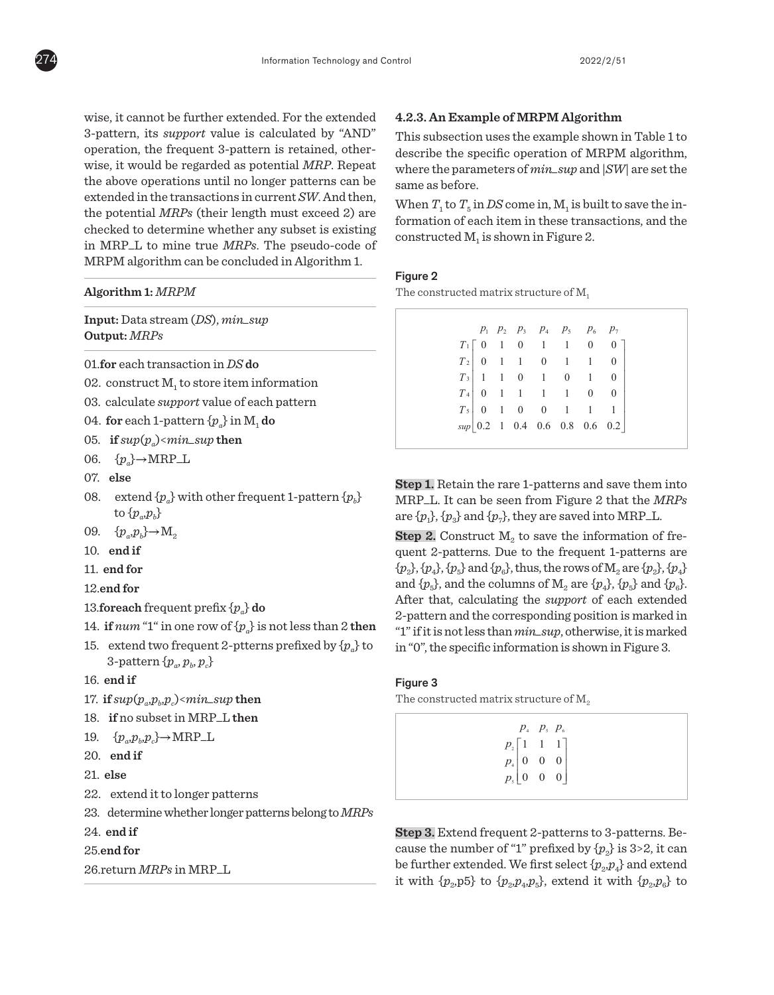wise, it cannot be further extended. For the extended 3-pattern, its *support* value is calculated by "AND" operation, the frequent 3-pattern is retained, otherwise, it would be regarded as potential *MRP*. Repeat the above operations until no longer patterns can be extended in the transactions in current *SW*. And then, the potential *MRPs* (their length must exceed 2) are checked to determine whether any subset is existing in MRP\_L to mine true *MRPs*. The pseudo-code of MRPM algorithm can be concluded in Algorithm 1.

**Algorithm 1:** *MRPM*

**Input:** Data stream (*DS*), *min\_sup* **Output:** *MRPs*

- 01.**for** each transaction in *DS* **do**
- 02. construct  $M<sub>1</sub>$  to store item information
- 03. calculate *support* value of each pattern
- 04. **for** each 1-pattern  $\{p_a\}$  in M<sub>1</sub> do
- 05. **if**  $sup(p_a)$ <*min\_sup* **then**
- 06.  $\{p_a\} \rightarrow \text{MRP\_L}$
- 07. **else**
- 08. extend  $\{p_a\}$  with other frequent 1-pattern  $\{p_b\}$ to  $\{p_a, p_b\}$
- 09.  $\{p_a, p_b\} \rightarrow M_2$
- 10. **end if**
- 11. **end for**
- 12.**end for**
- 13.**foreach** frequent prefix  $\{p_{\scriptscriptstyle a}\}$  **do**
- 14. **if**  $num$  "1" in one row of  $\{p_a\}$  is not less than 2 **then**
- 15. extend two frequent 2-ptterns prefixed by  $\{p_a\}$  to  $3$ -pattern  $\{p_{a}, p_{b}, p_{c}\}$ wo frequent  $z$ -p

### 16. **end if**

- 17.  $\textbf{if} \sup(p_a, p_b, p_c) \leq min\_sup \textbf{then}$  $p_{\scriptscriptstyle b}$ , $p_{\scriptscriptstyle c}$ )<mın\_su $p$
- 18. **if** no subset in MRP\_L then
- 19.  $\{p_a, p_b, p_c\} \rightarrow \text{MRP\_L}$  $\epsilon$ <sub>c</sub> $\epsilon$ <sup>--</sup>win.
- 20. **end if**
- 21. **else**
- 22. extend it to longer patterns
- 23. determine whether longer patterns belong to *MRPs* 17. **if** *sup*(*pa*,*pb*,*pc*)<*min\_sup* **then**

22. extend it to longer patterns in the longer patterns in the longer patterns in the longer patterns in the l

- 24. **end if**
- 25.**end for**

```
26.return MRPs in MRP_L
20. end if
                21. else
```
#### **4.2.3. An Example of MRPM Algorithm** 24. **end if**

This subsection uses the example shown in Table 1 to describe the specific operation of MRPM algorithm, where the parameters of  $min\_sup$  and  $|SW|$  are set the same as before.  $D$ 

When  $T_1$  to  $T_5$  in *DS* come in,  $M_1$  is built to save the information of each item in these transactions, and the  $\frac{1}{2}$  constructed  $M_1$  is shown in Figure 2.

## Figure 2

The constructed matrix structure of  $M_1$ 

|  |  | $p_1$ $p_2$ $p_3$ $p_4$ $p_5$ $p_6$ $p_7$<br>$\begin{array}{c cccccc} & r_1 & r_2 & r_3 & r_4 & r_5 & r_6 & r_7 \cr T_1 & 0 & 1 & 0 & 1 & 1 & 0 & 0 \cr T_2 & 0 & 1 & 1 & 0 & 1 & 1 & 0 \cr T_3 & 1 & 1 & 0 & 1 & 0 & 1 & 0 \cr T_4 & 0 & 1 & 1 & 1 & 1 & 0 & 0 \cr T_5 & 0 & 1 & 0 & 0 & 1 & 1 & 1 \cr \end{array}$ |  |  |
|--|--|----------------------------------------------------------------------------------------------------------------------------------------------------------------------------------------------------------------------------------------------------------------------------------------------------------------------|--|--|
|  |  |                                                                                                                                                                                                                                                                                                                      |  |  |
|  |  |                                                                                                                                                                                                                                                                                                                      |  |  |
|  |  |                                                                                                                                                                                                                                                                                                                      |  |  |
|  |  |                                                                                                                                                                                                                                                                                                                      |  |  |
|  |  |                                                                                                                                                                                                                                                                                                                      |  |  |

**Step 1.** Retain the rare 1-patterns and save them

**Step 1.** Retain the rare 1-patterns and save them into MRP\_L. It can be seen from Figure 2 that the *MRPs* are  $\{p_1\}$ ,  $\{p_3\}$  and  $\{p_7\}$ , they are saved into MRP<sub>-L</sub>.

**Step 2.** Construct  $M_2$  to save the information of frequent 2-patterns. Due to the frequent 1-patterns are  $\{p_2\}, \{p_4\}, \{p_5\}$  and  $\{p_6\}$ , thus, the rows of  $\mathbf{M}_2$  are  $\{p_2\}, \{p_4\}$ and  $\{p_5\}$ , and the columns of  $M_2$  are  $\{p_4\}$ ,  $\{p_5\}$  and  $\{p_6\}$ . After that, calculating the *support* of each extended 2-pattern and the corresponding position is marked in "1" if it is not less than  $min\_sup$ , otherwise, it is marked in "0", the specific information is shown in Figure 3. columns of *appoint* of each extend

## Figure 3

The constructed matrix structure of  $M_z$ 

| $p_4$ , $p_5$ , $p_6$<br>$\begin{bmatrix} p_{_2} \left[ \begin{matrix} 1 & 1 & 1 \\ 0 & 0 & 0 \\ p_{_4} \end{matrix} \right] & 0 & 0 \\ p_{_5} \left[ \begin{matrix} 0 & 0 & 0 \\ 0 & 0 & 0 \\ 0 & 0 & 0 \end{matrix} \right] & 0 & 0 \end{bmatrix}$ |
|------------------------------------------------------------------------------------------------------------------------------------------------------------------------------------------------------------------------------------------------------|
|------------------------------------------------------------------------------------------------------------------------------------------------------------------------------------------------------------------------------------------------------|

**Step 3.** Extend frequent 2-patterns to 3-

Step 3. Extend frequent 2-patterns to 3-patterns. Be $f''(1)$  and  $f''(2)$  and  $f''(2)$  to  $f(x)$  to  $f(x)$  to  $f(x)$  ${p_2}$  cause the number of "1" prefixed by  ${p_2}$  is 3>2, it can be further extended. We first select  ${p_{\textit{2}}}, p_{\textit{4}}\}$  and extend it with  $\{p_2, p_5\}$  to  $\{p_2, p_4, p_5\}$ , extend it with  $\{p_2, p_6\}$  to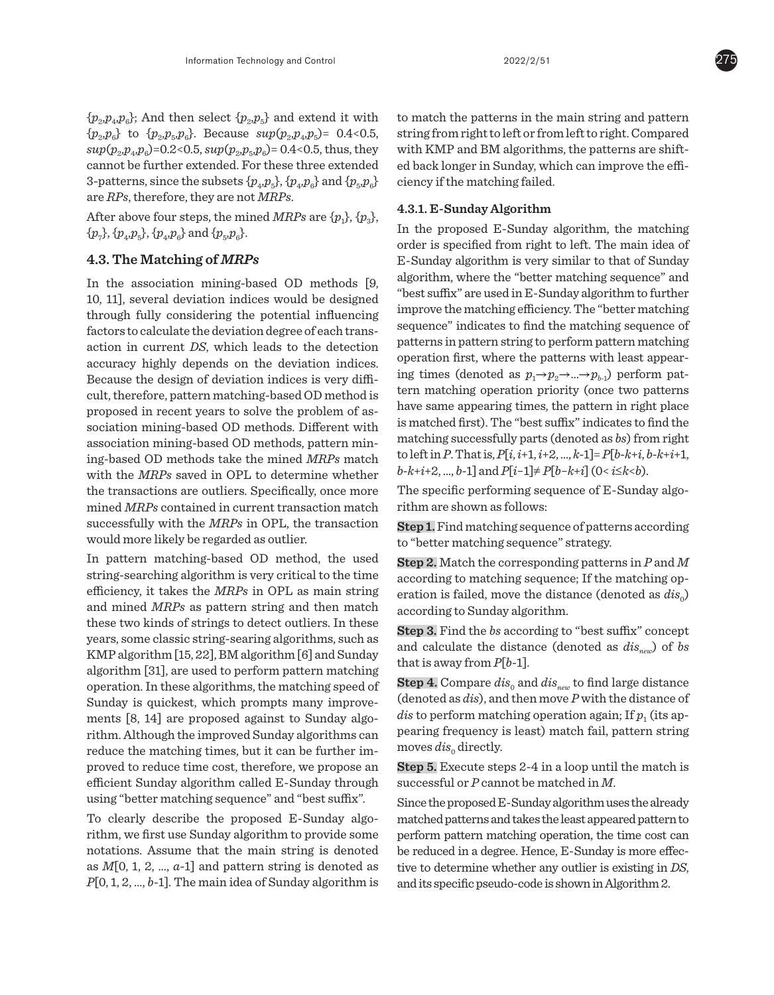$\{p_{\rho}p_{\rho}p_{\rho}\}\text{; And then select }\{p_{\rho}p_{\rho}\}\text{ and extend it with }$  $\{p_2, p_6\}$  to  $\{p_2, p_5, p_6\}$ . Because  $\sup(p_2, p_4, p_5) = 0.4 < 0.5$ ,  $sup(p_2, p_4, p_6) = 0.2 < 0.5, \, sup(p_2, p_5, p_6) = 0.4 < 0.5, \, thus, \, they$ cannot be further extended. For these three extended 3-patterns, since the subsets  $\{p_4, p_5\}$ ,  $\{p_4, p_6\}$  and  $\{p_5, p_6\}$ are *RPs*, therefore, they are not *MRPs*.

After above four steps, the mined *MRPs* are  $\{p_1\}$ ,  $\{p_3\}$ ,  $\{p_{7}\}, \{p_{4}, p_{5}\}, \{p_{4}, p_{6}\}$  and  $\{p_{5}, p_{6}\}.$ 

# **4.3. The Matching of** *MRPs*

In the association mining-based OD methods [9, 10, 11], several deviation indices would be designed through fully considering the potential influencing factors to calculate the deviation degree of each transaction in current *DS*, which leads to the detection accuracy highly depends on the deviation indices. Because the design of deviation indices is very difficult, therefore, pattern matching-based OD method is proposed in recent years to solve the problem of association mining-based OD methods. Different with association mining-based OD methods, pattern mining-based OD methods take the mined *MRPs* match with the *MRPs* saved in OPL to determine whether the transactions are outliers. Specifically, once more mined *MRPs* contained in current transaction match successfully with the *MRPs* in OPL, the transaction would more likely be regarded as outlier.

In pattern matching-based OD method, the used string-searching algorithm is very critical to the time efficiency, it takes the *MRPs* in OPL as main string and mined *MRPs* as pattern string and then match these two kinds of strings to detect outliers. In these years, some classic string-searing algorithms, such as KMP algorithm [15, 22], BM algorithm [6] and Sunday algorithm [31], are used to perform pattern matching operation. In these algorithms, the matching speed of Sunday is quickest, which prompts many improvements [8, 14] are proposed against to Sunday algorithm. Although the improved Sunday algorithms can reduce the matching times, but it can be further improved to reduce time cost, therefore, we propose an efficient Sunday algorithm called E-Sunday through using "better matching sequence" and "best suffix".

To clearly describe the proposed E-Sunday algorithm, we first use Sunday algorithm to provide some notations. Assume that the main string is denoted as *M*[0, 1, 2, …, *a*-1] and pattern string is denoted as *P*[0, 1, 2, …, *b*-1]. The main idea of Sunday algorithm is to match the patterns in the main string and pattern string from right to left or from left to right. Compared with KMP and BM algorithms, the patterns are shifted back longer in Sunday, which can improve the efficiency if the matching failed.

# **4.3.1. E-Sunday Algorithm**

In the proposed E-Sunday algorithm, the matching order is specified from right to left. The main idea of E-Sunday algorithm is very similar to that of Sunday algorithm, where the "better matching sequence" and "best suffix" are used in E-Sunday algorithm to further improve the matching efficiency. The "better matching sequence" indicates to find the matching sequence of patterns in pattern string to perform pattern matching operation first, where the patterns with least appearing times (denoted as  $p_1 \rightarrow p_2 \rightarrow ... \rightarrow p_{h-1}$ ) perform pattern matching operation priority (once two patterns have same appearing times, the pattern in right place is matched first). The "best suffix" indicates to find the matching successfully parts (denoted as *bs*) from right to left in *P*. That is, *P*[*i*, *i*+1, *i*+2, …, *k*-1]= *P*[*b*-*k*+*i*, *b*-*k*+*i*+1, *b*-*k*+*i*+2, …, *b*-1] and *P*[*i*−1]≠ *P*[*b*−*k*+*i*] (0< *i*≤*k*<*b*).

The specific performing sequence of E-Sunday algorithm are shown as follows:

**Step 1.** Find matching sequence of patterns according to "better matching sequence" strategy.

**Step 2.** Match the corresponding patterns in *P* and *M* according to matching sequence; If the matching operation is failed, move the distance (denoted as  $dis<sub>o</sub>$ ) according to Sunday algorithm.

**Step 3.** Find the *bs* according to "best suffix" concept and calculate the distance (denoted as  $dis_{new}$ ) of *bs* that is away from *P*[*b*-1].

**Step 4.** Compare  $dis_0$  and  $dis_{new}$  to find large distance (denoted as *dis*), and then move *P* with the distance of *dis* to perform matching operation again; If  $p_1$  (its appearing frequency is least) match fail, pattern string moves  $dis<sub>0</sub>$  directly.

**Step 5.** Execute steps 2-4 in a loop until the match is successful or *P* cannot be matched in *M*.

Since the proposed E-Sunday algorithm uses the already matched patterns and takes the least appeared pattern to perform pattern matching operation, the time cost can be reduced in a degree. Hence, E-Sunday is more effective to determine whether any outlier is existing in *DS*, and its specific pseudo-code is shown in Algorithm 2.

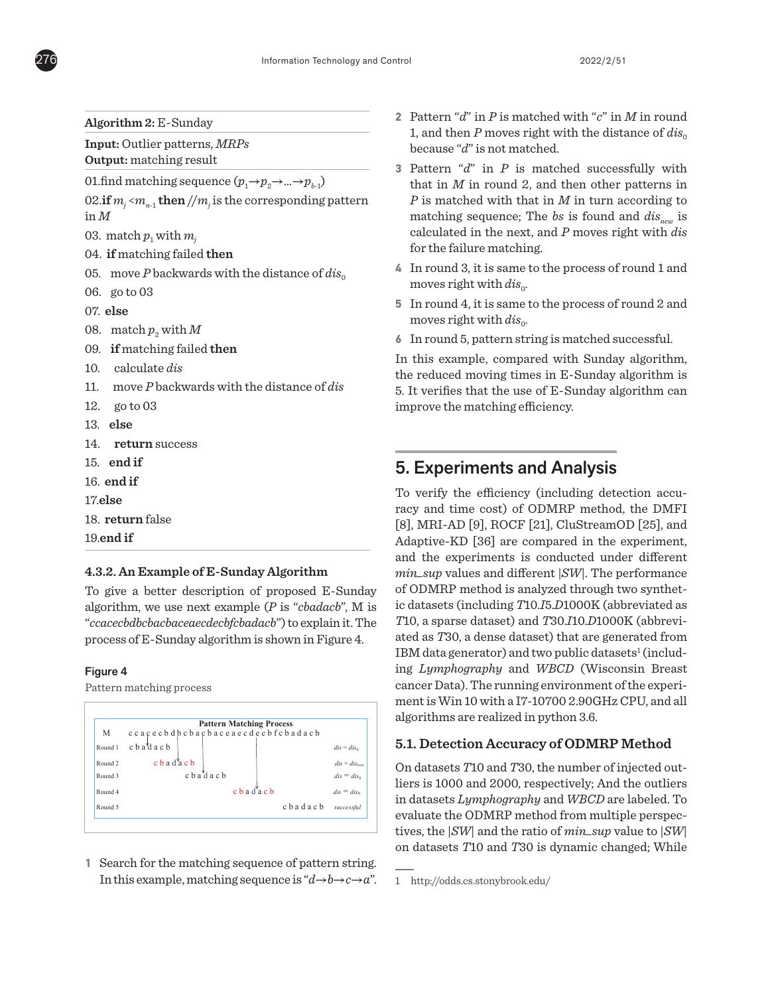**Algorithm 2:** E-Sunday

**Input:** Outlier patterns, *MRPs* **Output:** matching result

01.find matching sequence  $(p_1 \rightarrow p_2 \rightarrow ... \rightarrow p_{h-1})$ 

02. $\mathbf{if}$   $m_{j}$  <  $m_{n\text{-}1}$   $\mathbf{then}$  //  $m_{j}$  is the corresponding pattern in *M*

03. match  $p_1$  with  $m_i$ 

- 04. **if** matching failed **then**
- 05. move *P* backwards with the distance of  $dis<sub>o</sub>$
- 06. go to 03
- 07. **else**
- 08. match  $p_2$  with  $M$
- 09. **if** matching failed **then**
- 10. calculate *dis*
- 11. move *P* backwards with the distance of *dis*
- 12. go to 03
- 13. **else**
- 14. **return** success
- 15. **end if**
- 16. **end if**
- 17.**else**
- 18. **return** false

19.**end if**

# **4.3.2. An Example of E-Sunday Algorithm**

To give a better description of proposed E-Sunday algorithm, we use next example (*P* is "*cbadacb*", M is "*ccacecbdbcbacbaceaecdecbfcbadacb*") to explain it. The process of E-Sunday algorithm is shown in Figure 4. of E-Sunday algorium is shown in Figure <del>1</del>.

#### Figure 4 Figure 4.

Pattern matching process



1 Search for the matching sequence of pattern string. In this example, matching sequence is " $d \rightarrow b \rightarrow c \rightarrow a$ ".

- **2** Pattern "*d*" in *P* is matched with "*c*" in *M* in round 1, and then  $P$  moves right with the distance of  $dis<sub>o</sub>$ because "*d*" is not matched.
- **3** Pattern "*d*" in *P* is matched successfully with that in *M* in round 2, and then other patterns in *P* is matched with that in *M* in turn according to matching sequence; The *bs* is found and *dis<sub>new</sub>* is calculated in the next, and *P* moves right with *dis*  for the failure matching.
- **4** In round 3, it is same to the process of round 1 and moves right with  $dis<sub>o</sub>$ .
- **5** In round 4, it is same to the process of round 2 and moves right with  $dis<sub>o</sub>$ .
- **6** In round 5, pattern string is matched successful.

In this example, compared with Sunday algorithm, the reduced moving times in E-Sunday algorithm is 5. It verifies that the use of E-Sunday algorithm can improve the matching efficiency.

# 5. Experiments and Analysis

*T*10, a sparse dataset) and *T*30.*I*10.*D*1000K (abbreviated as *T*30, a dense dataset) that are generated from IBM data generator) and two public datasets<sup>1</sup> (includenvironment of the experiment of the experiment is  $\frac{1}{2}$ ing *Lymphography* and *WBCD* (Wisconsin Breast cancer Data). The running environment of the experiment is win 15 wan and 16 to 6 shooting on 9, and algorithms are realized in python 3.6. To verify the efficiency (including detection accuracy and time cost) of ODMRP method, the DMFI [8], MRI-AD [9], ROCF [21], CluStreamOD [25], and Adaptive-KD [36] are compared in the experiment, and the experiments is conducted under different *min\_sup* values and different |*SW*|. The performance of ODMRP method is analyzed through two synthetic datasets (including *T*10.*I*5.*D*1000K (abbreviated as ment is Win 10 with a I7-10700 2.90GHz CPU, and all

# **5.1. Detection Accuracy of ODMRP Method**

On datasets *T*10 and *T*30, the number of injected outliers is 1000 and 2000, respectively; And the outliers *Lymphography* and *WBCD* are labeled. To in datasets *Lymphography* and *WBCD* are labeled. To evaluate the ODMRP method from multiple perspec*min\_sup* value to |*SW*| on datasets *T*10 and tives, the |*SW*| and the ratio of *min\_sup* value to |*SW*| on datasets *T*10 and *T*30 is dynamic changed; While

<sup>1</sup> http://odds.cs.stonybrook.edu/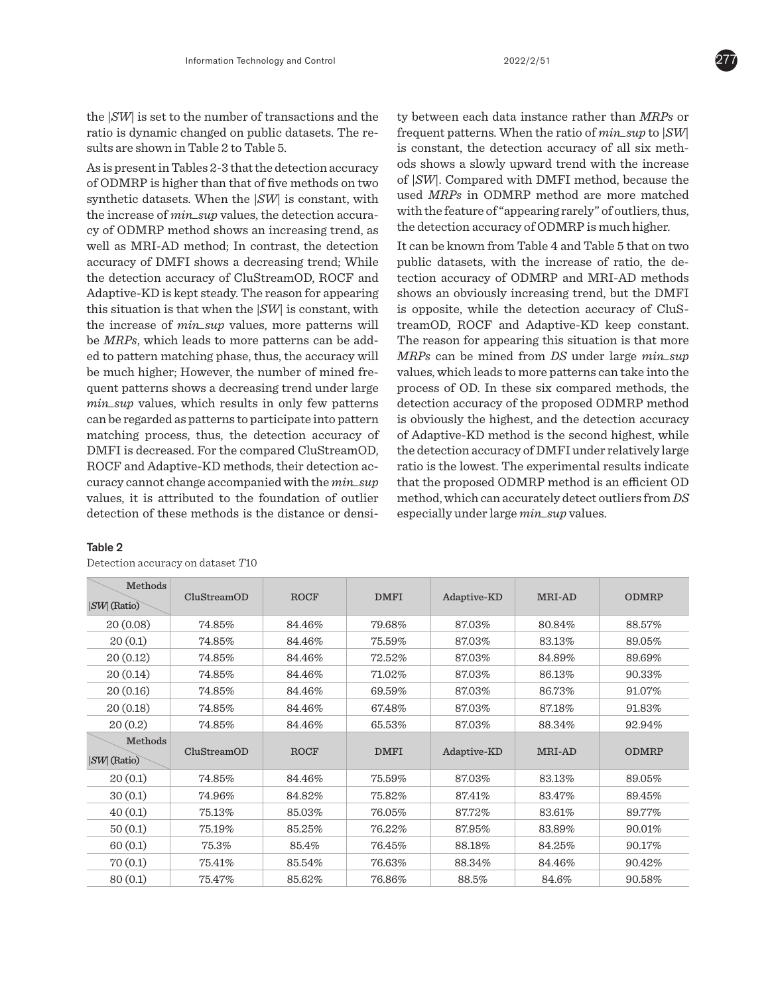the |*SW*| is set to the number of transactions and the ratio is dynamic changed on public datasets. The results are shown in Table 2 to Table 5.

As is present in Tables 2-3 that the detection accuracy of ODMRP is higher than that of five methods on two synthetic datasets. When the |*SW*| is constant, with the increase of *min\_sup* values, the detection accuracy of ODMRP method shows an increasing trend, as well as MRI-AD method; In contrast, the detection accuracy of DMFI shows a decreasing trend; While the detection accuracy of CluStreamOD, ROCF and Adaptive-KD is kept steady. The reason for appearing this situation is that when the |*SW*| is constant, with the increase of *min\_sup* values, more patterns will be *MRPs*, which leads to more patterns can be added to pattern matching phase, thus, the accuracy will be much higher; However, the number of mined frequent patterns shows a decreasing trend under large *min\_sup* values, which results in only few patterns can be regarded as patterns to participate into pattern matching process, thus, the detection accuracy of DMFI is decreased. For the compared CluStreamOD, ROCF and Adaptive-KD methods, their detection accuracy cannot change accompanied with the *min\_sup* values, it is attributed to the foundation of outlier detection of these methods is the distance or densi-

## Table 2

Detection accuracy on dataset *T*10

ty between each data instance rather than *MRPs* or frequent patterns. When the ratio of *min\_sup* to |*SW*| is constant, the detection accuracy of all six methods shows a slowly upward trend with the increase of |*SW*|. Compared with DMFI method, because the used *MRPs* in ODMRP method are more matched with the feature of "appearing rarely" of outliers, thus, the detection accuracy of ODMRP is much higher.

It can be known from Table 4 and Table 5 that on two public datasets, with the increase of ratio, the detection accuracy of ODMRP and MRI-AD methods shows an obviously increasing trend, but the DMFI is opposite, while the detection accuracy of CluStreamOD, ROCF and Adaptive-KD keep constant. The reason for appearing this situation is that more *MRPs* can be mined from *DS* under large *min\_sup* values, which leads to more patterns can take into the process of OD. In these six compared methods, the detection accuracy of the proposed ODMRP method is obviously the highest, and the detection accuracy of Adaptive-KD method is the second highest, while the detection accuracy of DMFI under relatively large ratio is the lowest. The experimental results indicate that the proposed ODMRP method is an efficient OD method, which can accurately detect outliers from *DS* especially under large *min\_sup* values.

| Methods<br>$ SW $ (Ratio) | CluStreamOD | <b>ROCF</b> | <b>DMFI</b> | Adaptive-KD | MRI-AD | <b>ODMRP</b> |
|---------------------------|-------------|-------------|-------------|-------------|--------|--------------|
| 20(0.08)                  | 74.85%      | 84.46%      | 79.68%      | 87.03%      | 80.84% | 88.57%       |
| 20(0.1)                   | 74.85%      | 84.46%      | 75.59%      | 87.03%      | 83.13% | 89.05%       |
| 20(0.12)                  | 74.85%      | 84.46%      | 72.52%      | 87.03%      | 84.89% | 89.69%       |
| 20(0.14)                  | 74.85%      | 84.46%      | 71.02%      | 87.03%      | 86.13% | 90.33%       |
| 20(0.16)                  | 74.85%      | 84.46%      | 69.59%      | 87.03%      | 86.73% | 91.07%       |
| 20(0.18)                  | 74.85%      | 84.46%      | 67.48%      | 87.03%      | 87.18% | 91.83%       |
| 20(0.2)                   | 74.85%      | 84.46%      | 65.53%      | 87.03%      | 88.34% | 92.94%       |
|                           |             |             |             |             |        |              |
| Methods<br>$ SW $ (Ratio) | CluStreamOD | <b>ROCF</b> | <b>DMFI</b> | Adaptive-KD | MRI-AD | <b>ODMRP</b> |
| 20(0.1)                   | 74.85%      | 84.46%      | 75.59%      | 87.03%      | 83.13% | 89.05%       |
| 30(0.1)                   | 74.96%      | 84.82%      | 75.82%      | 87.41%      | 83.47% | 89.45%       |
| 40(0.1)                   | 75.13%      | 85.03%      | 76.05%      | 87.72%      | 83.61% | 89.77%       |
| 50(0.1)                   | 75.19%      | 85.25%      | 76.22%      | 87.95%      | 83.89% | 90.01%       |
| 60(0.1)                   | 75.3%       | 85.4%       | 76.45%      | 88.18%      | 84.25% | 90.17%       |
| 70(0.1)                   | 75.41%      | 85.54%      | 76.63%      | 88.34%      | 84.46% | 90.42%       |

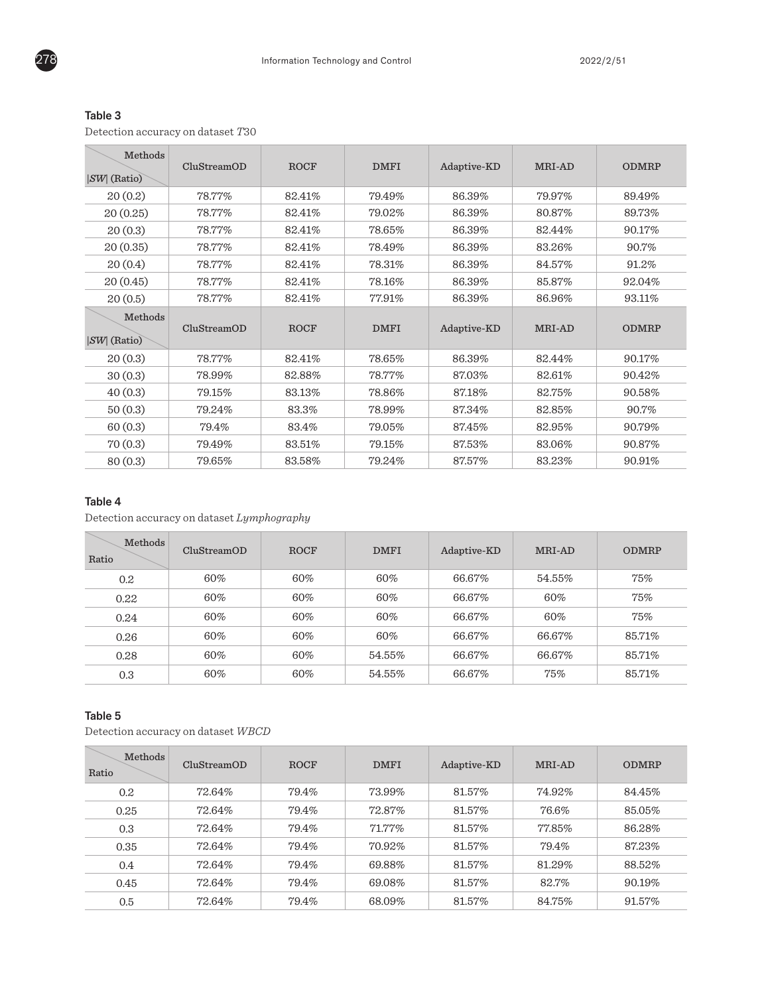| $\sim$<br>I |
|-------------|
|-------------|

Detection accuracy on dataset *T*30

| Methods<br>$ SW $ (Ratio) | CluStreamOD | <b>ROCF</b> | <b>DMFI</b> | Adaptive-KD | MRI-AD | <b>ODMRP</b> |
|---------------------------|-------------|-------------|-------------|-------------|--------|--------------|
| 20(0.2)                   | 78.77%      | 82.41%      | 79.49%      | 86.39%      | 79.97% | 89.49%       |
| 20(0.25)                  | 78.77%      | 82.41%      | 79.02%      | 86.39%      | 80.87% | 89.73%       |
| 20(0.3)                   | 78.77%      | 82.41%      | 78.65%      | 86.39%      | 82.44% | 90.17%       |
| 20(0.35)                  | 78.77%      | 82.41%      | 78.49%      | 86.39%      | 83.26% | 90.7%        |
| 20(0.4)                   | 78.77%      | 82.41%      | 78.31%      | 86.39%      | 84.57% | 91.2%        |
| 20(0.45)                  | 78.77%      | 82.41%      | 78.16%      | 86.39%      | 85.87% | 92.04%       |
| 20(0.5)                   | 78.77%      | 82.41%      | 77.91%      | 86.39%      | 86.96% | 93.11%       |
| Methods<br>$ SW $ (Ratio) | CluStreamOD | <b>ROCF</b> | <b>DMFI</b> | Adaptive-KD | MRI-AD | <b>ODMRP</b> |
| 20(0.3)                   | 78.77%      | 82.41%      | 78.65%      | 86.39%      | 82.44% | 90.17%       |
| 30(0.3)                   | 78.99%      | 82.88%      | 78.77%      | 87.03%      | 82.61% | 90.42%       |
| 40(0.3)                   | 79.15%      | 83.13%      | 78.86%      | 87.18%      | 82.75% | 90.58%       |
| 50(0.3)                   | 79.24%      | 83.3%       | 78.99%      | 87.34%      | 82.85% | 90.7%        |
| 60(0.3)                   | 79.4%       | 83.4%       | 79.05%      | 87.45%      | 82.95% | 90.79%       |
| 70(0.3)                   | 79.49%      | 83.51%      | 79.15%      | 87.53%      | 83.06% | 90.87%       |
| 80(0.3)                   | 79.65%      | 83.58%      | 79.24%      | 87.57%      | 83.23% | 90.91%       |

# Table 4

Detection accuracy on dataset *Lymphography*

| Methods<br>Ratio | CluStreamOD | ROCF | <b>DMFI</b> | Adaptive-KD | MRI-AD | <b>ODMRP</b> |
|------------------|-------------|------|-------------|-------------|--------|--------------|
| 0.2              | 60%         | 60%  | 60%         | 66.67%      | 54.55% | 75%          |
| 0.22             | 60%         | 60%  | 60%         | 66.67%      | 60%    | 75%          |
| 0.24             | 60%         | 60%  | 60%         | 66.67%      | 60%    | 75%          |
| 0.26             | 60%         | 60%  | 60%         | 66.67%      | 66.67% | 85.71%       |
| 0.28             | 60%         | 60%  | 54.55%      | 66.67%      | 66.67% | 85.71%       |
| 0.3              | 60%         | 60%  | 54.55%      | 66.67%      | 75%    | 85.71%       |

# Table 5

Detection accuracy on dataset *WBCD*

| Methods<br>Ratio | CluStreamOD | <b>ROCF</b> | <b>DMFI</b> | Adaptive-KD | MRI-AD | <b>ODMRP</b> |
|------------------|-------------|-------------|-------------|-------------|--------|--------------|
| 0.2              | 72.64%      | 79.4%       | 73.99%      | 81.57%      | 74.92% | 84.45%       |
| 0.25             | 72.64%      | 79.4%       | 72.87%      | 81.57%      | 76.6%  | 85.05%       |
| 0.3              | 72.64%      | 79.4%       | $71.77\%$   | 81.57%      | 77.85% | 86.28%       |
| 0.35             | 72.64%      | 79.4%       | 70.92%      | 81.57%      | 79.4%  | 87.23%       |
| 0.4              | 72.64%      | 79.4%       | 69.88%      | 81.57%      | 81.29% | 88.52%       |
| 0.45             | 72.64%      | 79.4%       | 69.08%      | 81.57%      | 82.7%  | 90.19%       |
| 0.5              | 72.64%      | 79.4%       | 68.09%      | 81.57%      | 84.75% | 91.57%       |

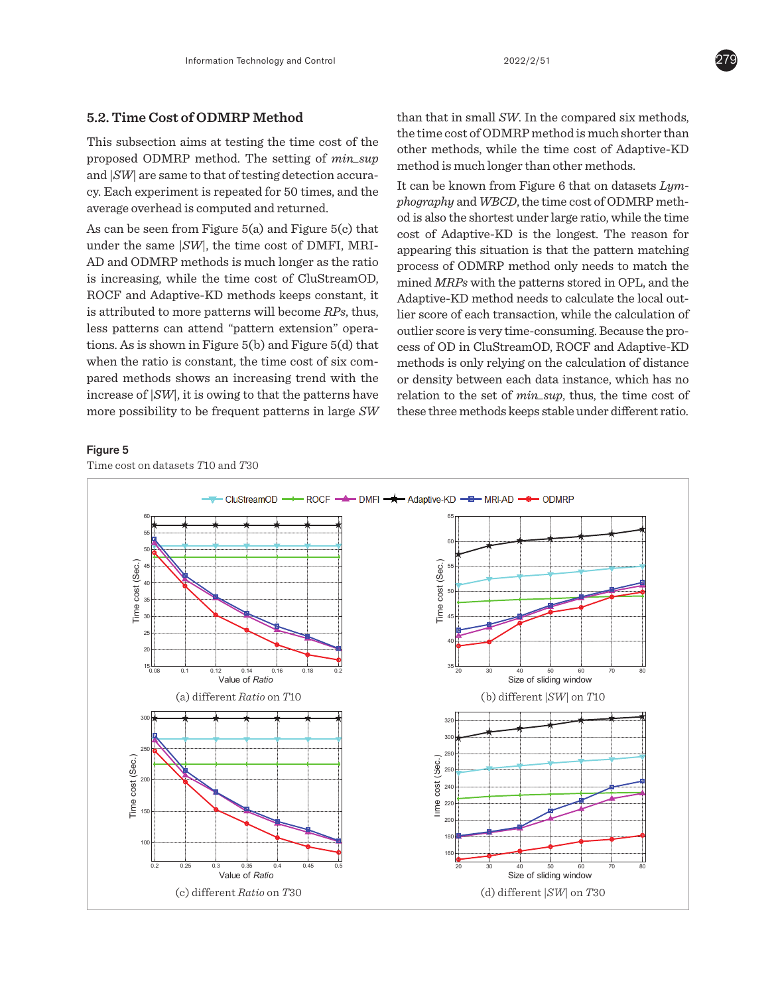# **5.2. Time Cost of ODMRP Method**

This subsection aims at testing the time cost of the proposed ODMRP method. The setting of *min\_sup* and  $|SW|$  are same to that of testing detection accuracy. Each experiment is repeated for 50 times, and the average overhead is computed and returned. *Phography* and *WBCD*, the time cos

o.36 0.3 Auaptive-RD is the longest. The reunder the same *SW*, the time cost of DMFI, MRI-<br>appearing this situation is that the pattern r AD and ODMRP methods is much longer as the ratio series of ODMRP method only is increasing, while the time cost of CluStreamOD,  $\frac{1}{2}$  mined MRPs with the patterns stored in OPL ROCF and Adaptive-KD methods keeps constant, it Adaptive-KD method needs to calculate method is well as well as well as well as well as well as well as well as well as well as well as well as  $\frac{1}{2}$ . is attributed to more patterns will become RPs, thus, lier score of each transaction, wh less patterns can attend "pattern extension" opera- outliers tions. As is shown in Figure 5(b) and Figure 5(d) that  $\alpha$ when the ratio is constant, the time cost of six com- method: pared methods shows an increasing trend with the or densi increase of  $|SW|$ , it is owing to that the patterns have relation more possibility to be frequent patterns in large  $SW$  t tions. As is shown in Figure 5(b) and Figure 5(d) that  $\cos$  cess of (  $\frac{1}{2}$  results in the proposed in the proposed that the proposed in the proposed in the proposed in the proposed in the proposed in the proposed in the proposed in the proposed in the proposed in the proposed in the pr  $\frac{1}{2}$  $\mathbf{P}$  method is an efficient  $\mathbf{P}$  method, which  $\mathbf{P}$ more possibility to be frequent patterns in large SW these that the proposition of  $\epsilon$  $\sum_{i=1}^{n}$  method is an efficient  $\sum_{i=1}^{n}$  method is an efficient  $\sum_{i=1}^{n}$ 

than that in small *SW*. In the compared six methods, the time cost of ODMRP method is much shorter than other methods, while the time cost of Adaptive-KD method is much longer than other methods.

 $\alpha$  od is also the shortest under large r  $\alpha$  od is also the shortest under large r  $\alpha$  of a can be seen from Figure 5(a) and Figure 5(c) that  $\alpha$  cost of Adantive-KD is the long-It can be known from Figure 6 that on datasets *Lymphography* and *WBCD*, the time cost of ODMRP meth- $\frac{1}{2}$  code is also the shortest under large ratio, while the time een from Figure 5(a) and Figure 5(c) that  $\frac{1}{2}$  cost of Adoptive KD is the largest. The resear for igure  $5(a)$  and Figure  $5(c)$  that cost of Adaptive-KD is the longest. The reason for alme  $|SW|$ , the time cost of DWF1, MR1-appearing this situation is that the pattern matching MRP methods is much longer as the ratio process of ODMRP method only needs to match the while the time cost of CluStreamOD and MPD with the unttawns stand in ONL and the the time cost of Clustream CD, mined *MRPs* with the patterns stored in OPL, and the KD methods keeps constant, it Adaptive-KD method needs to calculate the local outpatterns will become *RPs*, thus, lier score of each transaction, while the calculation of outlier score is very time-consuming. Because the pro-**5.2. Time COD** in CluStreamOD, ROCF and Adaptive-KD methods is only relying on the calculation of distance or density between each data instance, which has no relation to the set of *min\_sup*, thus, the time cost of these three methods keeps stable under different ratio. *i* to the set of *min\_sup*, thus, the time cost of und 9 with the patterns store<br>... *V*D wath ad waadwis ...bul This subsection and the testing the testing the time constanting because the proof in ontological proof and halping its<br>Figures methods of the setting of distance of *m* only relying on the calculation of ulstance tes de contrade de termente de la contrade de la contrade de la contrade de la contrade de la contrade de la contrade de la contrade de la contrade de la contrade de la contrade de la contrade de la contrade de la contrade  $\mu$  to the set of *min* sup, thus, the third cost of iree methods keeps stable under different ratio. nod needs to calculate the loc  $StreamOD, ROCF and Aaaptive- $\Lambda$ D$  $e$  appendix method. The calculation of distance n each data instance, which has no t of  $mn\_sup$ , thus, the time cost of the time cost of DMFI, MRI-<br>
appearing this situation is that the pattern r<br>
process of ODMRP method only needs to m<br>
he time cost of CluStreamOD under large *minder minder minder minder*. The consuming because the provider the time consuming the time test of the time testing the time testing the t of the proposed on the proposed of distance. of *min\_sup* and |*SW*| are same to that of  $t_{\text{ref}}$  and the detection accuracy. Each experiment  $\mathcal{L}$  $\frac{1}{2}$  of  $\frac{1}{2}$  the average for  $\frac{1}{2}$  the average  $\frac{1}{2}$  .  $\frac{1}{2}$   $\frac{1}{2}$  are  $\frac{1}{2}$  .  $\frac{1}{2}$  .  $\frac{1}{2}$  .  $\frac{1}{2}$  .  $\frac{1}{2}$  .  $\frac{1}{2}$  .  $\frac{1}{2}$  .  $\frac{1}{2}$  .  $\frac{1}{2}$  .  $\frac{1}{2}$  .  $\frac{$ ds neeps staste and returned in ratio.

# Figure 5 **Figure 5**

Time cost on datasets *T*10 and *T*30 **Figure 5 Figure 5 Figure 5**

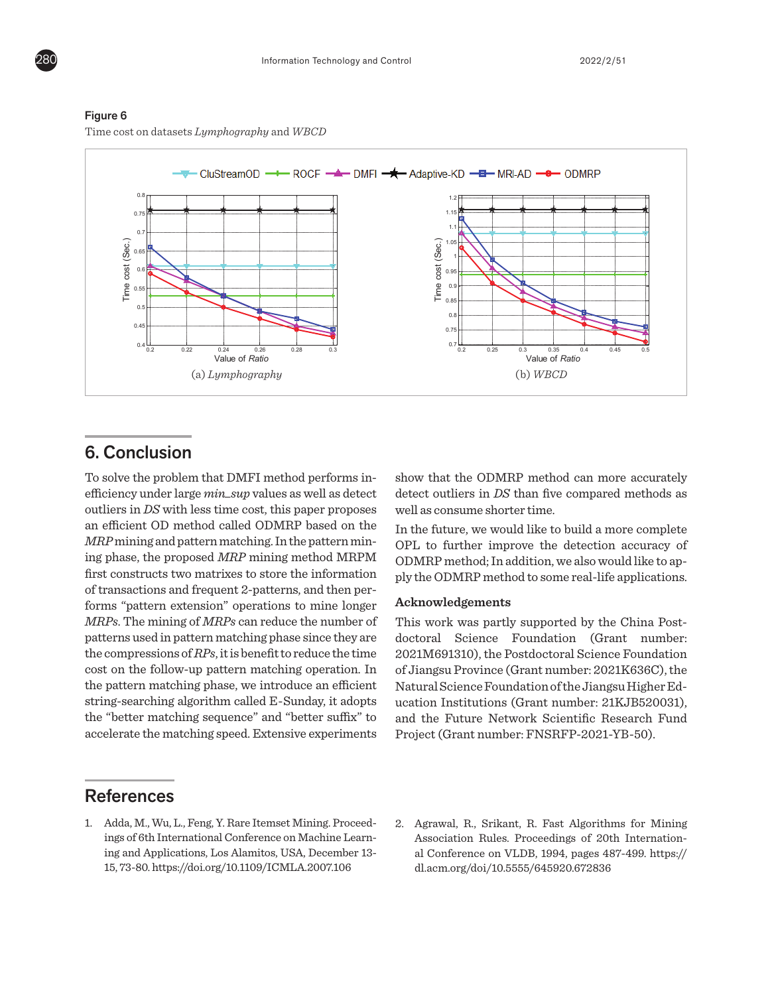

## Figure 6

Time cost on datasets *Lymphography* and *WBCD*

# **6. Conclusion**

CluStreamOD, ROCF and Adaptive-KD methods CluStreamOD, ROCF and Adaptive-KD methods  $k = \frac{1}{2}$ eniclency under large *mill* sup values as well as detect (can be  $R^2$ outliers in *DS* with less time cost, this paper proposes well as containing the contact of the contact of the cost of the cost of the cost of the cost of the cost of the cost of the cost of the cost of the cost of the cos an efficient OD method called ODMRP based on the  $\frac{1}{2}$  In the figure  $\frac{1}{2}$ *MRP* mining and pattern matching. In the pattern min-<br>
opL to ing phase, the proposed *MRP* mining method MRPM ODMRP first constructs two matrixes to store the information  $\qquad$  ply the O of transactions and frequent 2-patterns, and then performs "pattern extension" operations to mine longer  $\overline{\text{Acknow}}$ *MRPs*. The mining of *MRPs* can reduce the number of This work patterns used in pattern matching phase since they are doctoral the compressions of *RPs*, it is benefit to reduce the time 2021 the pattern matching phase, we introduce an efficient Natural S string-searching algorithm called E-Sunday, it adopts ucation 1 the "better matching sequence" and "better suffix" to and the accelerate the matching speed. Extensive experiments Project ( keeps constant of the monetage constant in the more patterns in the more patterns in the more patterns in the more patterns in the more patterns in the more patterns in the more patterns in the more patterns in the more pa To solve the problem that DMFI method performs in-<br>  $k$  problem that  $D_{\text{WLP}}$  include performs in  $\sim$  show the efficiency under large *min\_sup* values as well as detect detect o cost on the follow-up pattern matching operation. In

MRI-AD and ODMRP methods is much longer as

MRI-AD and ODMRP methods is much longer as

MRI-AD and ODMRP methods is much longer as

#### the patterns stored in OPL, and the Adaptive-KD stored in OPL, and the Adaptive-KD stored in OPL, and the Adaptive-KD stored in OPL, and the Adaptive-KD stored in OPL, and the Adaptive-KD stored in OPL, and the Adaptive-KD  $\cos$

1. Adda, M., Wu, L., Feng, Y. Rare Itemset Mining. Proceed- 2. Agrav ings of 6th International Conference on Machine Learn-<br>Assoc ing and Applications, Los Alamitos, USA, December 13-al Co 15, 73-80. https://doi.org/10.1109/ICMLA.2007.106 dl.acu

method only needs to match the mined *MRPs* with

method only needs to match the mined *MRPs* with

 $\mathcal{L}$  is since the reason for appearing the reason for appearing the situation is situation is situation in

method only needs to match the mined *MRPs* with

show that the ODMRP method can more accurately detect outliers in *DS* than five compared methods as well as consume shorter time.

In the future, we would like to build a more complete OPL to further improve the detection accuracy of ODMRP method; In addition, we also would like to apply the ODMRP method to some real-life applications. matching phase, we introduce an efficient matching phase, we introduce an efficient matching phase, we introduce an efficient

#### $\bf Acknowledgements$  $\frac{1}{\sqrt{2}}$  string-searching-searching algorithm called E-Sunday,  $\frac{1}{\sqrt{2}}$

This work was partly supported by the China Postdoctoral Science Foundation (Grant number: 2021M691310), the Postdoctoral Science Foundation of Jiangsu Province (Grant number: 2021K636C), the Natural Science Foundation of the Jiangsu Higher Education Institutions (Grant number: 21KJB520031), and the Future Network Scientific Research Fund Project (Grant number: FNSRFP-2021-YB-50).

**Acknowledgements Acknowledgements Acknowledgements** 2. Agrawal, R., Srikant, R. Fast Algorithms for Mining al Conference on VLDB, 1994, pages 487-499. https:// dl.acm.org/doi/10.5555/645920.672836 Association Rules. Proceedings of 20th Internation-

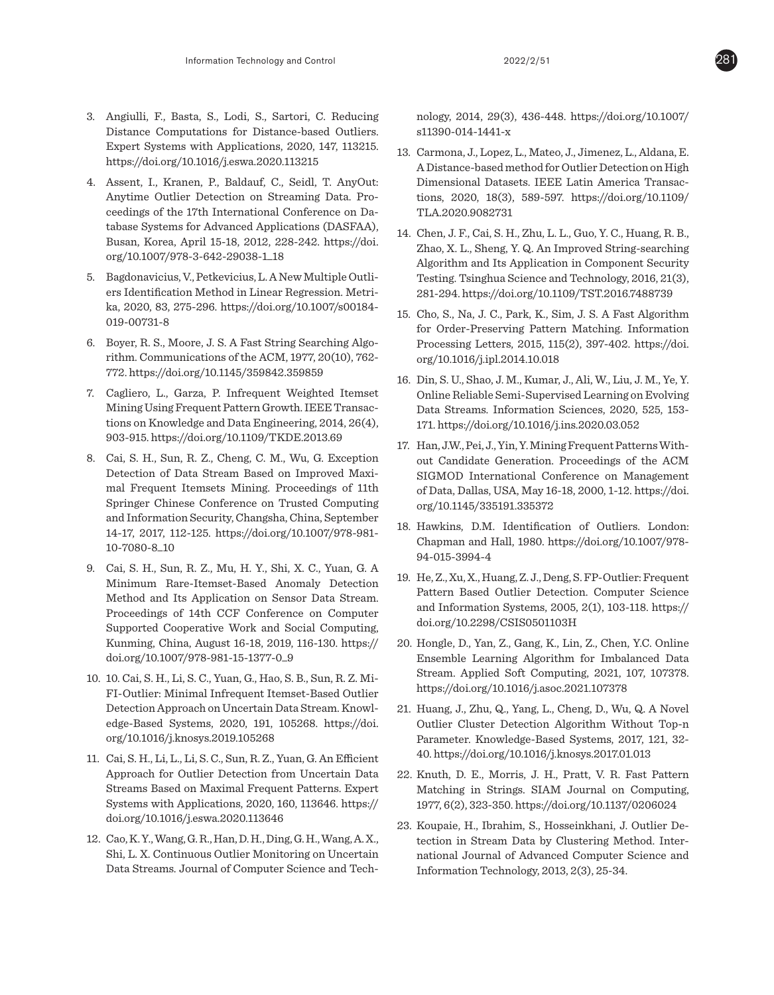- 3. Angiulli, F., Basta, S., Lodi, S., Sartori, C. Reducing Distance Computations for Distance-based Outliers. Expert Systems with Applications, 2020, 147, 113215. https://doi.org/10.1016/j.eswa.2020.113215
- 4. Assent, I., Kranen, P., Baldauf, C., Seidl, T. AnyOut: Anytime Outlier Detection on Streaming Data. Proceedings of the 17th International Conference on Database Systems for Advanced Applications (DASFAA), Busan, Korea, April 15-18, 2012, 228-242. https://doi. org/10.1007/978-3-642-29038-1\_18
- 5. Bagdonavicius, V., Petkevicius, L. A New Multiple Outliers Identification Method in Linear Regression. Metrika, 2020, 83, 275-296. https://doi.org/10.1007/s00184- 019-00731-8
- 6. Boyer, R. S., Moore, J. S. A Fast String Searching Algorithm. Communications of the ACM, 1977, 20(10), 762- 772. https://doi.org/10.1145/359842.359859
- 7. Cagliero, L., Garza, P. Infrequent Weighted Itemset Mining Using Frequent Pattern Growth. IEEE Transactions on Knowledge and Data Engineering, 2014, 26(4), 903-915. https://doi.org/10.1109/TKDE.2013.69
- 8. Cai, S. H., Sun, R. Z., Cheng, C. M., Wu, G. Exception Detection of Data Stream Based on Improved Maximal Frequent Itemsets Mining. Proceedings of 11th Springer Chinese Conference on Trusted Computing and Information Security, Changsha, China, September 14-17, 2017, 112-125. https://doi.org/10.1007/978-981- 10-7080-8\_10
- 9. Cai, S. H., Sun, R. Z., Mu, H. Y., Shi, X. C., Yuan, G. A Minimum Rare-Itemset-Based Anomaly Detection Method and Its Application on Sensor Data Stream. Proceedings of 14th CCF Conference on Computer Supported Cooperative Work and Social Computing, Kunming, China, August 16-18, 2019, 116-130. https:// doi.org/10.1007/978-981-15-1377-0\_9
- 10. 10. Cai, S. H., Li, S. C., Yuan, G., Hao, S. B., Sun, R. Z. Mi-FI-Outlier: Minimal Infrequent Itemset-Based Outlier Detection Approach on Uncertain Data Stream. Knowledge-Based Systems, 2020, 191, 105268. https://doi. org/10.1016/j.knosys.2019.105268
- 11. Cai, S. H., Li, L., Li, S. C., Sun, R. Z., Yuan, G. An Efficient Approach for Outlier Detection from Uncertain Data Streams Based on Maximal Frequent Patterns. Expert Systems with Applications, 2020, 160, 113646. https:// doi.org/10.1016/j.eswa.2020.113646
- 12. Cao, K. Y., Wang, G. R., Han, D. H., Ding, G. H., Wang, A. X., Shi, L. X. Continuous Outlier Monitoring on Uncertain Data Streams. Journal of Computer Science and Tech-

nology, 2014, 29(3), 436-448. https://doi.org/10.1007/ s11390-014-1441-x

- 13. Carmona, J., Lopez, L., Mateo, J., Jimenez, L., Aldana, E. A Distance-based method for Outlier Detection on High Dimensional Datasets. IEEE Latin America Transactions, 2020, 18(3), 589-597. https://doi.org/10.1109/ TLA.2020.9082731
- 14. Chen, J. F., Cai, S. H., Zhu, L. L., Guo, Y. C., Huang, R. B., Zhao, X. L., Sheng, Y. Q. An Improved String-searching Algorithm and Its Application in Component Security Testing. Tsinghua Science and Technology, 2016, 21(3), 281-294. https://doi.org/10.1109/TST.2016.7488739
- 15. Cho, S., Na, J. C., Park, K., Sim, J. S. A Fast Algorithm for Order-Preserving Pattern Matching. Information Processing Letters, 2015, 115(2), 397-402. https://doi. org/10.1016/j.ipl.2014.10.018
- 16. Din, S. U., Shao, J. M., Kumar, J., Ali, W., Liu, J. M., Ye, Y. Online Reliable Semi-Supervised Learning on Evolving Data Streams. Information Sciences, 2020, 525, 153- 171. https://doi.org/10.1016/j.ins.2020.03.052
- 17. Han, J.W., Pei, J., Yin, Y. Mining Frequent Patterns Without Candidate Generation. Proceedings of the ACM SIGMOD International Conference on Management of Data, Dallas, USA, May 16-18, 2000, 1-12. https://doi. org/10.1145/335191.335372
- 18. Hawkins, D.M. Identification of Outliers. London: Chapman and Hall, 1980. https://doi.org/10.1007/978- 94-015-3994-4
- 19. He, Z., Xu, X., Huang, Z. J., Deng, S. FP-Outlier: Frequent Pattern Based Outlier Detection. Computer Science and Information Systems, 2005, 2(1), 103-118. https:// doi.org/10.2298/CSIS0501103H
- 20. Hongle, D., Yan, Z., Gang, K., Lin, Z., Chen, Y.C. Online Ensemble Learning Algorithm for Imbalanced Data Stream. Applied Soft Computing, 2021, 107, 107378. https://doi.org/10.1016/j.asoc.2021.107378
- 21. Huang, J., Zhu, Q., Yang, L., Cheng, D., Wu, Q. A Novel Outlier Cluster Detection Algorithm Without Top-n Parameter. Knowledge-Based Systems, 2017, 121, 32- 40. https://doi.org/10.1016/j.knosys.2017.01.013
- 22. Knuth, D. E., Morris, J. H., Pratt, V. R. Fast Pattern Matching in Strings. SIAM Journal on Computing, 1977, 6(2), 323-350. https://doi.org/10.1137/0206024
- 23. Koupaie, H., Ibrahim, S., Hosseinkhani, J. Outlier Detection in Stream Data by Clustering Method. International Journal of Advanced Computer Science and Information Technology, 2013, 2(3), 25-34.